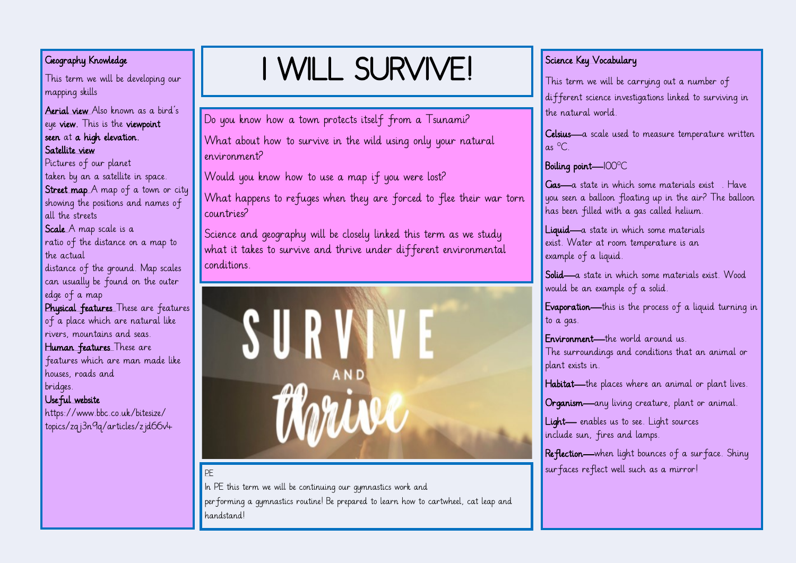### Geography Knowledge

This term we will be developing our mapping skills

#### Aerial view Also known as a bird's eye view. This is the viewpoint seen at a high elevation. Satellite view

Pictures of our planet taken by an a satellite in space. Street map A map of a town or city showing the positions and names of all the streets Scale A map scale is a ratio of the distance on a map to

the actual distance of the ground. Map scales

can usually be found on the outer edge of a map

Physical features These are features of a place which are natural like rivers, mountains and seas.

Human features These are features which are man made like

houses, roads and bridges.

#### Useful website

https://www.bbc.co.uk/bitesize/ topics/zqj3n9q/articles/zjd66v4

# I WILL SURVIVE!

Do you know how a town protects itself from a Tsunami?

What about how to survive in the wild using only your natural environment?

Would you know how to use a map if you were lost?

What happens to refuges when they are forced to flee their war torn countries?

Science and geography will be closely linked this term as we study what it takes to survive and thrive under different environmental conditions.



#### PE

In PE this term we will be continuing our gymnastics work and performing a gymnastics routine! Be prepared to learn how to cartwheel, cat leap and handstand!

# Science Key Vocabulary

This term we will be carrying out a number of different science investigations linked to surviving in the natural world.

Celsius—a scale used to measure temperature written  $as \ ^{0}C$ .

#### Boiling point—100°C

Gas—a state in which some materials exist . Have you seen a balloon floating up in the air? The balloon has been filled with a gas called helium.

Liquid—a state in which some materials exist. Water at room temperature is an example of a liquid.

Solid—a state in which some materials exist. Wood would be an example of a solid.

Evaporation—this is the process of a liquid turning in to a gas.

Environment—the world around us. The surroundings and conditions that an animal or plant exists in.

Habitat—the places where an animal or plant lives.

Organism—any living creature, plant or animal.

Light— enables us to see. Light sources include sun, fires and lamps.

Reflection—when light bounces of a surface. Shiny surfaces reflect well such as a mirror!